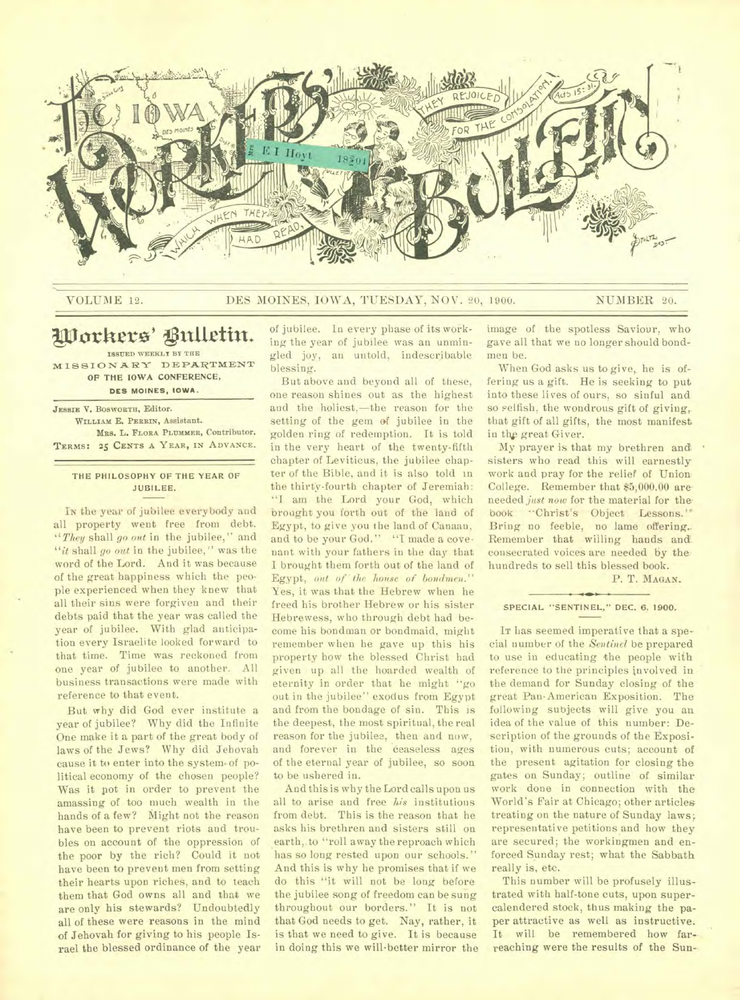

### VOLUME 12. DES MOINES, IOWA, TUESDAY, NOV. 20, 1900. NUMBER 20.

# Workers' Bulletin.

**ISSUED WEEKLY BY THE M 18 81 0 NT IL WY DEPARTMENT OF THE IOWA CONFERENCE, DES MOINES, IOWA.** 

**JESSIE V. BOSWORTH, Editor. WILLIAM E. PERRIN, Assistant. MRS. L. FLORA PLUMMER, Contributor. TERMS: 25 CENTS A YEAR, IN ADVANCE.** 

**THE PHILOSOPHY OF THE YEAR OF JUBILEE.** 

In the year of jubilee everybody and all property went free from debt. *"They* shall *go out* in the jubilee," and *"it* shall *go out* in the jubilee," was the word of the Lord. And it was because of the great happiness which the people experienced when they knew that all their sins were forgiven and their debts paid that the year was called the year of jubilee. With glad anticipation every Israelite looked forward to that time. Time was reckoned from one year of jubilee to another. All business transactions were made with reference to that event.

But why did God ever institute a year of jubilee? Why did the Infinite One make it a part of the great body of laws of the Jews? Why did Jehovah cause it to enter into the system of political economy of the chosen people? Was it pot in order to prevent the amassing of too much wealth in the hands of a few? Might not the reason have been to prevent riots and troubles on account of the oppression of the poor by the rich? Could it not have been to prevent men from setting their hearts upon riches, and to teach them that God owns all and that we are only his stewards? Undoubtedly all of these were reasons in the mind of Jehovah for giving to his people Israel the blessed ordinance of the year

of jubilee. In every phase of its working the year of jubilee was an unmingled joy, au untold, indescribable blessing.

But above and beyond all of these, one reason shines out as the highest and the holiest,—the reason for the setting of the gem of jubilee in the golden ring of redemption. It is told in the very heart of the twenty-fifth chapter of Leviticus, the jubilee chapter of the Bible, and it is also told in the thirty-fourth chapter of Jeremiah: "I am the Lord your God, which brought you forth out of the land of Egypt, to give you the land of Canaan, and to be your God." "I made a covenant with your fathers in the day that I brought them forth out of the land of Egypt, out of the house of bondmen." Yes, it was that the Hebrew when he freed his brother Hebrew or his sister Hebrewess, who through debt had become his bondman or bondmaid, might remember when he gave up this his property how the blessed Christ had given up all the hoarded wealth of eternity in order that he might "go out in the jubilee" exodus from Egypt and from the bondage of sin. This is the deepest, the most spiritual, the real reason for the jubilee, then and now, and forever in the ceaseless ages of the eternal year of jubilee, so soon to be ushered in.

And this is why the Lord calls upon us all to arise and free *his* institutions from debt. This is the reason that he asks his brethren and sisters still on earth, to "roll away the reproach which has so long rested upon our schools." And this is why he promises that if we do this "it will not be long before the jubilee song of freedom can be sung throughout our borders." It is not that God needs to get. Nay, rather, it is that we need to give. It is because in doing this we will better mirror the

image of the spotless Saviour, who gave all that we no longer should bondmen be.

When God asks us to give, he is offering us a gift. He is seeking to put into these lives of ours, so sinful and so selfish, the wondrous gift of giving, that gift of all gifts, the most manifest in the great Giver.

My prayer is that my brethren and sisters who read this will earnestly work and pray for the relief of Union College. Remember that \$5,000.00 are needed *just now* for the material for thebook "Christ's Object Lessons.'" Bring no feeble, no lame offering.. Remember that willing hands and consecrated voices are needed by the hundreds to sell this blessed book.

P. T. MAGAN.

### SPECIAL "SENTINEL," **DEC. 6, 1900.**

**IT** has seemed imperative that a special number of the *Sentinel* be prepared to use in educating the people with reference to the principles involved in the demand for Sunday closing of the great Pau-American Exposition. The following subjects will give you an idea of the value of this number: Description of the grounds of the Exposition, with numerous cuts; account of the present agitation for closing the gates on Sunday; outline of similar work done in connection with the World's Fair at Chicago; other articles treating on the nature of Sunday laws; representative petitions and how they are secured; the workingmen and enforced Sunday rest; what the Sabbath really is, etc.

This number will be profusely illustrated with half-tone cuts, upon supercalendered stock, thus making the paper attractive as well as instructive. It will be remembered how farreaching were the results of the Sun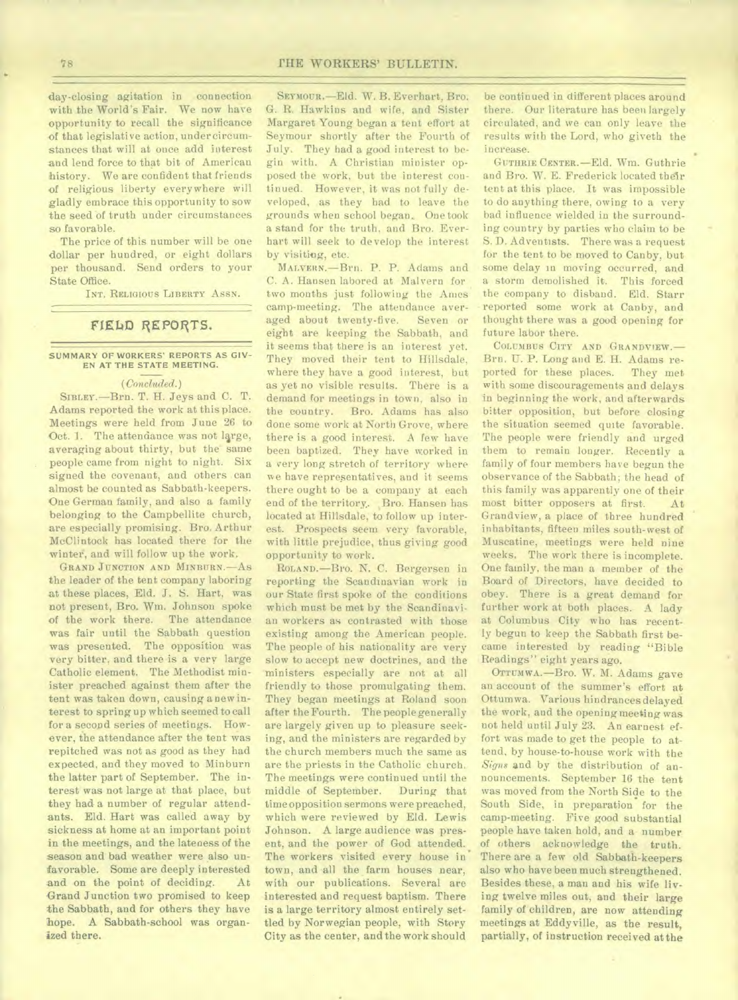day-closing agitation in connection with the World's Fair. We now have opportunity to recall the significance of that legislative action, under circumstances that will at once add interest and lend force to that bit of American history. We are confident that friends of religious liberty everywhere will gladly embrace this opportunity to sow the seed of truth under circumstances so favorable.

The price of this number will be one dollar per hundred, or eight dollars per thousand. Send orders to your State Office.

**TNT. RELIGIOUS LIBERTY** ASSN.

### **FIELD REPORTS.**

**SUMMARY OF WORKERS' REPORTS AS GIV-EN AT THE STATE MEETING.** 

### *(Concluded.)*

**SIBLEY.—Brn.** T. H. Jeys and C. T. Adams reported the work at this place. Meetings were held from June 26 to Oct. 1. The attendance was not large, averaging about thirty, but the same people came from night to night. Six signed the covenant, and others can almost be counted as Sabbath-keepers. One German family, and also a family belonging to the Campbellite church, are especially promising. Bro. Arthur McClintock has located there for the winter, and will follow up the work.

**GRAND JUNCTION AND MINBURN.—AS**  the leader of the tent company laboring at these places, Eld. J. S. Hart, was not present, Bro. Wm. Johnson spoke of the work there. The attendance was fair until the Sabbath question was presented. The opposition was very bitter. and there is a very large Catholic element. The Methodist minister preached against them after the tent was taken down, causing anew interest to spring up which seemed to call for a second series of meetings. However, the attendance after the tent was repitched was not as good as they had expected, and they moved to Minburn the latter part of September. The interest was not large at that place, but they had a number of regular attendants. Eld. Hart was called away by sickness at home at an important point in the meetings, and the lateness of the season and bad weather were also unfavorable. Some are deeply interested<br>and on the point of deciding. At and on the point of deciding. Grand Junction two promised to keep the Sabbath, and for others they have hope. A Sabbath-school was organized there.

**SEYMOUR.—Eld.** W. B. Everhart, Bro. G. R. Hawkins and wife, and Sister Margaret Young began a tent effort at Seymour shortly after the Fourth of July. They had a good interest to begin with. A Christian minister opposed the work, but the interest continued. However, it was not fully developed, as they had to leave the grounds when school began, One took a stand for the truth, and Bro. Everhart will seek to develop the interest by visiting, etc.

MALVERN.--Brn. P. P. Adams and C. A. Hansen labored at Malvern for two months just following the Ames camp-meeting. The attendance averaged about twenty-five. Seven or eight are keeping the Sabbath, and it seems that there is an interest yet. They moved their tent to Hillsdale, where they have a good interest, but as yet no visible results. There is a demand for meetings in town, also in the country. Bro. Adams has also done some work at North Grove, where there is a good interest. A few have been baptized. They have worked in a very long stretch of territory where we have representatives, and it seems there ought to be a company at each end of the territory. Bro. Hansen has located at Hillsdale, to follow up interest. Prospects seem very favorable, with little prejudice, thus giving good opportunity to work.

**ROLAND.—Bro.** N. C. Bergersen in reporting the Scandinavian work in our State first spoke of the conditions which must be met by the Scandinavian workers as contrasted with those existing among the American people. The people of his nationality are very slow to accept new doctrines, and the ministers especially are not at all friendly to those promulgating them. They began meetings at Roland soon after the Fourth. The people generally are largely given up to pleasure seeking, and the ministers are regarded by the church members much the same as are the priests in the Catholic church. The meetings were continued until the<br>middle of September. During that middle of September. time opposition sermons were preached, which were reviewed by Eld. Lewis Johnson. A large audience was present, and the power of God attended. The workers visited every house in town, and all the farm houses near, with our publications. Several are interested and request baptism. There is a large territory almost entirely settled by Norwegian people, with Story City as the center, and the work should

be continued in different places around there. Our literature has been largely circulated, and we can only leave the results with the Lord, who giveth the increase.

**GUTHRIE CENTER.—Eld.** Wm. Guthrie and Bro. W. E. Frederick located their tent at this place. It was impossible to do anything there, owing to a very bad influence wielded in the surrounding country by parties who claim to be S. D. Adventists. There was a request for the tent to be moved to Canby, but some delay in moving occurred, and a storm demolished it. This forced the company to disband. Eld. Starr reported some work at Canby, and thought there was a good opening for future labor there.

**COLUMBUS CITY AND GRA NDVIEW.—**  Brn. U. P. Long and E. H. Adams reported for these places. They met with some discouragements and delays in beginning the work, and afterwards bitter opposition, but before closing the situation seemed quite favorable. The people were friendly and urged them to remain longer. Recently a family of four members have begun the observance of the Sabbath; the head of this family was apparently one of their most bitter opposers at first. At Grandview, a place of three hundred inhabitants, fifteen miles south-west of Muscatine, meetings were held nine weeks. The work there is incomplete. One family, the man a member of the Board of Directors, have decided to obey. There is a great demand for further work at both places. A lady at Columbus City who has recently begun to keep the Sabbath first became interested by reading "Bible Readings" eight years ago.

**OTTUMWA.—Bro.** W. M. Adams gave an account of the summer's effort at Ottumwa. Various hindrances delayed the work, and the opening meeting was not held until July 23. An earnest effort was made to get the people to attend, by house-to-house work with the *Signs* **and** by the distribution of announcements. September 16 the tent was moved from the North Side to the South Side, in preparation for the camp-meeting. Five good substantial people have taken hold, and a number of others acknowledge the truth. There are a few old Sabbath-keepers also who have been much strengthened. Besides these, a man and his wife living twelve miles out, and their large family of children, are now attending meetings at Eddyville, as the result, partially, of instruction received at the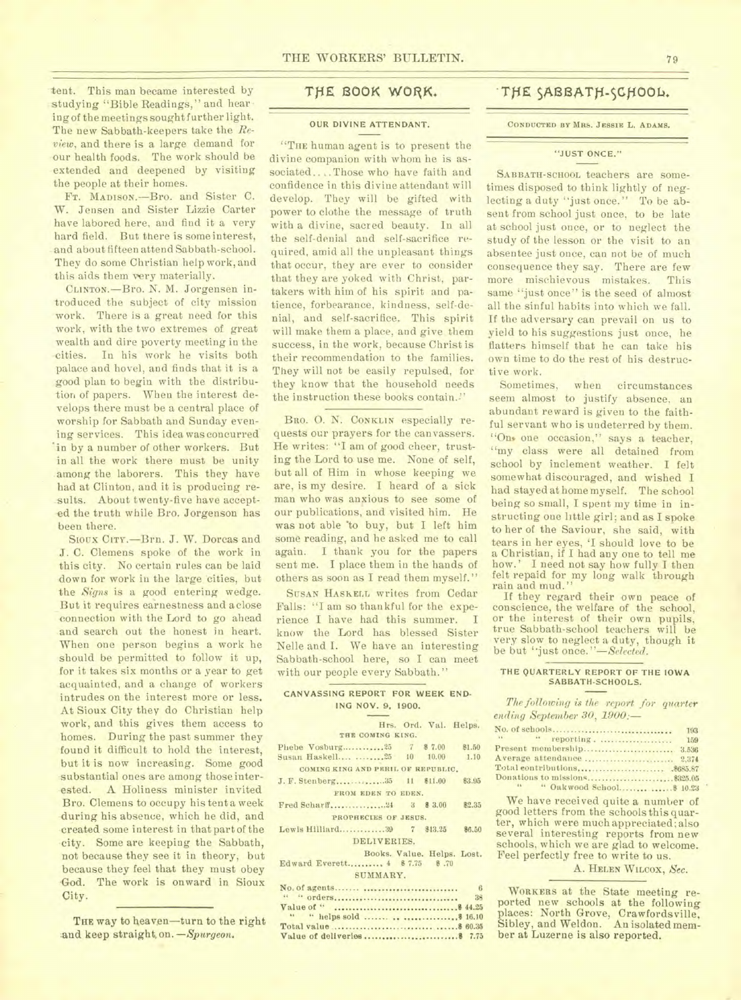tent. This man became interested by studying "Bible Readings," and hear ing of the meetings sought further light. The new Sabbath-keepers take the *Review,* and there is a large demand for our health foods. The work should be extended and deepened by visiting the people at their homes.

FT. MADISON.—Bro. and Sister C. W. Jensen and Sister Lizzie Carter have labored here, and find it a very hard field. But there is some interest, and about fifteen attend Sabbath-school. They do some Christian help work, and this aids them very materially.

CLINTON.—Bro. N. M. Jorgensen introduced the subject of city mission work. There is a great need for this work, with the two extremes of great wealth and dire poverty meeting in the cities. In his work he visits both palace and hovel, and finds that it is a good plan to begin with the distribution of papers. When the interest develops there must be a central place of worship for Sabbath and Sunday evening services. This idea was concurred 'in by a number of other workers. But in all the work there must be unity among the laborers. This they have had at Clinton, and it is producing results. About twenty-five have accepted the truth while Bro. Jorgenson has been there.

Sioux CITY.—Brn. J. W. Dorcas and J. C. Clemens spoke of the work in this city. No certain rules can be laid down for work in the large cities, but the *Signs* is a good entering wedge. \_But it requires earnestness and a close connection with the Lord to go ahead and search out the honest in heart. When one person begins a work he should be permitted to follow it up, for it takes six months or a year to get acquainted, and a change of workers intrudes on the interest more or less. At Sioux City they do Christian help work, and this gives them access to homes. During the past summer they found it difficult to hold the interest, but it is now increasing. Some good substantial ones are among those interested. A Holiness minister invited Bro. Clemens to occupy his tent a week during his absence, which he did, and created some interest in that part of the city. Some are keeping the Sabbath, not because they see it in theory, but because they feel that they must obey God. The work is onward in Sioux City.

THE way to heaven-turn to the right and keep straight on. *-Spurgeon*.

### OUR DIVINE ATTENDANT.

"THE human agent is to present the divine companion with whom he is associated.... Those who have faith and confidence in this divine attendant will develop. They will be gifted with power to clothe the message of truth with a divine, sacred beauty. In all the self-denial and self-sacrifice required, amid all the unpleasant things that occur, they are ever to consider that they are yoked with Christ, partakers with him of his spirit and patience, forbearance, kindness, self-denial, and self-sacrifice. This spirit will make them a place, and give them success, in the work, because Christ is their recommendation to the families. They will not be easily repulsed, for they know that the household needs the instruction these books contain.!"

BRO. O. N. CONKLIN especially requests our prayers for the canvassers. He writes: "I am of good cheer, trusting the Lord to use me. None of self, but all of Him in whose keeping we are, is my desire. I heard of a sick man who was anxious to see some of our publications, and visited him. He was not able 'to buy, but I left him some reading, and he asked me to call again. I thank you for the papers sent me. I place them in the hands of others as soon as I read them myself."

SUSAN HASKELL writes from Cedar Falls: "I am so thankful for the experience I have had this summer. I know the Lord has blessed Sister Nelle and I. We have an interesting Sabbath-school here, so I can meet with our people every Sabbath."

### CANVASSING REPORT FOR WEEK END-ING NOV. 9, 1900.

### Hrs. Ord. Val. Helps. **THE COMING KING.**  Phebe Vosburg..............25 7 \$ 7.00 \$1.50<br>Susan Haskell.... ..........25 10 10.00 1.10 Susan Haskell.... ........25 **COMING KING AND PERIL OF REPUBLIC.**  J. F. Stenberg................35 11 \$11.00 \$3.95 **FROM EDEN TO EDEN.**  Fred Scharff .24 3 \$ 3.00 \$2.35 **PROPHECIES OF JESUS.**  Lewis Hilliard.............39 7 \$13.25 \$6.50 DELIVERIES. Books. Value. Helps. Lost.<br>....... 4 \$7.75 \$.70 Edward Everett..........  $4 \quad $7.75$ SUMMARY. No. of agents 6

" " orders 38 Value of " \$ 44.25 " " helps sold \$ 16.10 Total value \$ 60.35 Value of deliveries \$ 7.75

## THE BOOK WORK. THE SABBATH-SCHOOL.

**CONDUCTED BY MRS. JESSIE** L. **ADAMS.** 

### "JUST ONCE."

SABBATH-SCHOOL teachers are sometimes disposed to think lightly of neglecting a duty "just once." To be absent from school just once, to be late at school just once, or to neglect the study of the lesson or the visit to an absentee just once, can not be of much consequence they say. There are few more mischievous mistakes. This same "just once" is the seed of almost all the sinful habits into which we fall. If the adversary can prevail on us to yield to his suggestions just once, he flatters himself that he can take his own time to do the rest of his destructive work.<br>Sometimes,

when circumstances seem almost to justify absence, an abundant reward is given to the faithful servant who is undeterred by them. "Ons one occasion," says a teacher, "my class were all detained from school by inclement weather. I felt somewhat discouraged, and wished I had stayed at home myself. The school being so small, I spent my time in instructing one little girl; and as I spoke to her of the Saviour, she said, with tears in her eyes, 'I should love to be a Christian, if I had any one to tell me how.' I need not say how fully I then felt repaid for my long walk through rain and mud."

If they regard their own peace of conscience, the welfare of the school, or the interest of their own pupils, true Sabbath-school teachers will be very slow to neglect a duty, though it be but `'just *once."—Selected.* 

#### THE QUARTERLY REPORT OF THE IOWA SABBATH-SCHOOLS.

*The following is the report for quarter ending September 30, 1900:—* 

|                                   | 193 |
|-----------------------------------|-----|
| <b>ACCOUNTING</b><br>" reporting. | 159 |
| Present membership 3.536          |     |
| Average attendance  2,374         |     |
|                                   |     |
|                                   |     |
| 56                                |     |

We have received quite a number of good letters from the schools this quarter, which were much appreciated; also several interesting reports from new schools, which we are glad to welcome. Feel perfectly free to write to us.

### A. HELEN WILCOX, *Sec.*

WORKERS at the State meeting reported new schools at the following places: North Grove, Crawfordsville, Sibley, and Weldon. An isolated member at Luzerne is also reported.